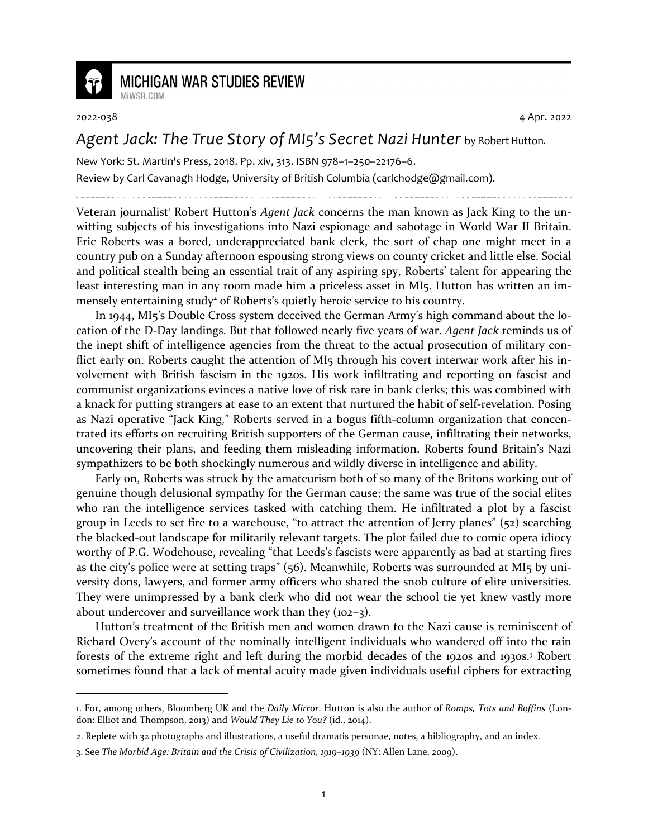

## **MICHIGAN WAR STUDIES REVIEW**

MiWSR COM

2022-038 4 Apr. 2022

## *Agent Jack: The True Story of MI5's Secret Nazi Hunter* by Robert Hutton.

New York: St. Martin's Press, 2018. Pp. xiv, 313. ISBN 978–1–250–22176–6. Review by Carl Cavanagh Hodge, University of British Columbia (carlchodge@gmail.com).

Veteran journalist<sup>1</sup> Robert Hutton's *Agent Jack* concerns the man known as Jack King to the unwitting subjects of his investigations into Nazi espionage and sabotage in World War II Britain. Eric Roberts was a bored, underappreciated bank clerk, the sort of chap one might meet in a country pub on a Sunday afternoon espousing strong views on county cricket and little else. Social and political stealth being an essential trait of any aspiring spy, Roberts' talent for appearing the least interesting man in any room made him a priceless asset in MI5. Hutton has written an immensely entertaining study<sup>2</sup> of Roberts's quietly heroic service to his country.

In 1944, MI5's Double Cross system deceived the German Army's high command about the location of the D-Day landings. But that followed nearly five years of war. *Agent Jack* reminds us of the inept shift of intelligence agencies from the threat to the actual prosecution of military conflict early on. Roberts caught the attention of MI5 through his covert interwar work after his involvement with British fascism in the 1920s. His work infiltrating and reporting on fascist and communist organizations evinces a native love of risk rare in bank clerks; this was combined with a knack for putting strangers at ease to an extent that nurtured the habit of self-revelation. Posing as Nazi operative "Jack King," Roberts served in a bogus fifth-column organization that concentrated its efforts on recruiting British supporters of the German cause, infiltrating their networks, uncovering their plans, and feeding them misleading information. Roberts found Britain's Nazi sympathizers to be both shockingly numerous and wildly diverse in intelligence and ability.

Early on, Roberts was struck by the amateurism both of so many of the Britons working out of genuine though delusional sympathy for the German cause; the same was true of the social elites who ran the intelligence services tasked with catching them. He infiltrated a plot by a fascist group in Leeds to set fire to a warehouse, "to attract the attention of Jerry planes" (52) searching the blacked-out landscape for militarily relevant targets. The plot failed due to comic opera idiocy worthy of P.G. Wodehouse, revealing "that Leeds's fascists were apparently as bad at starting fires as the city's police were at setting traps" (56). Meanwhile, Roberts was surrounded at MI5 by university dons, lawyers, and former army officers who shared the snob culture of elite universities. They were unimpressed by a bank clerk who did not wear the school tie yet knew vastly more about undercover and surveillance work than they (102–3).

Hutton's treatment of the British men and women drawn to the Nazi cause is reminiscent of Richard Overy's account of the nominally intelligent individuals who wandered off into the rain forests of the extreme right and left during the morbid decades of the 1920s and 1930s.<sup>3</sup> Robert sometimes found that a lack of mental acuity made given individuals useful ciphers for extracting

<sup>1.</sup> For, among others, Bloomberg UK and the *Daily Mirror*. Hutton is also the author of *Romps, Tots and Boffins* (London: Elliot and Thompson, 2013) and *Would They Lie to You?* (id., 2014).

<sup>2.</sup> Replete with 32 photographs and illustrations, a useful dramatis personae, notes, a bibliography, and an index.

<sup>3.</sup> See *The Morbid Age: Britain and the Crisis of Civilization, 1919–1939* (NY: Allen Lane, 2009).